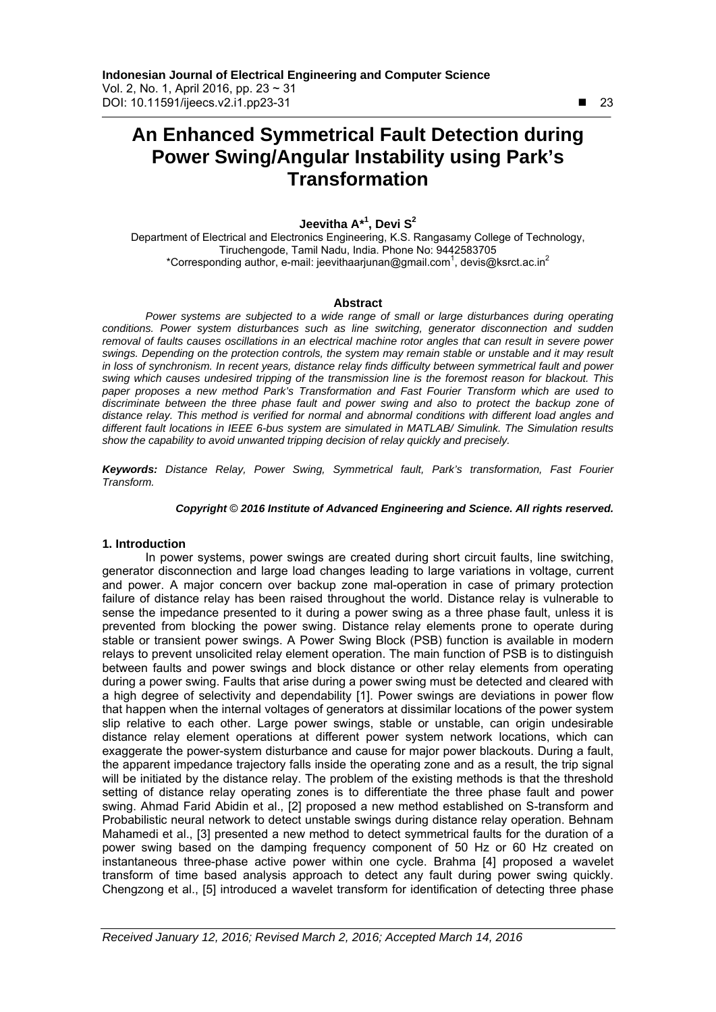# **An Enhanced Symmetrical Fault Detection during Power Swing/Angular Instability using Park's Transformation**

## **Jeevitha A\*<sup>1</sup> , Devi S<sup>2</sup>**

Department of Electrical and Electronics Engineering, K.S. Rangasamy College of Technology, Tiruchengode, Tamil Nadu, India. Phone No: 9442583705 \*Corresponding author, e-mail: jeevithaarjunan@gmail.com<sup>1</sup>, devis@ksrct.ac.in<sup>2</sup>

#### **Abstract**

Power systems are subjected to a wide range of small or large disturbances during operating *conditions. Power system disturbances such as line switching, generator disconnection and sudden removal of faults causes oscillations in an electrical machine rotor angles that can result in severe power swings. Depending on the protection controls, the system may remain stable or unstable and it may result in loss of synchronism. In recent years, distance relay finds difficulty between symmetrical fault and power swing which causes undesired tripping of the transmission line is the foremost reason for blackout. This paper proposes a new method Park's Transformation and Fast Fourier Transform which are used to discriminate between the three phase fault and power swing and also to protect the backup zone of distance relay. This method is verified for normal and abnormal conditions with different load angles and different fault locations in IEEE 6-bus system are simulated in MATLAB/ Simulink. The Simulation results show the capability to avoid unwanted tripping decision of relay quickly and precisely.* 

*Keywords: Distance Relay, Power Swing, Symmetrical fault, Park's transformation, Fast Fourier Transform.* 

#### *Copyright* © *2016 Institute of Advanced Engineering and Science. All rights reserved.*

#### **1. Introduction**

In power systems, power swings are created during short circuit faults, line switching, generator disconnection and large load changes leading to large variations in voltage, current and power. A major concern over backup zone mal-operation in case of primary protection failure of distance relay has been raised throughout the world. Distance relay is vulnerable to sense the impedance presented to it during a power swing as a three phase fault, unless it is prevented from blocking the power swing. Distance relay elements prone to operate during stable or transient power swings. A Power Swing Block (PSB) function is available in modern relays to prevent unsolicited relay element operation. The main function of PSB is to distinguish between faults and power swings and block distance or other relay elements from operating during a power swing. Faults that arise during a power swing must be detected and cleared with a high degree of selectivity and dependability [1]. Power swings are deviations in power flow that happen when the internal voltages of generators at dissimilar locations of the power system slip relative to each other. Large power swings, stable or unstable, can origin undesirable distance relay element operations at different power system network locations, which can exaggerate the power-system disturbance and cause for major power blackouts. During a fault, the apparent impedance trajectory falls inside the operating zone and as a result, the trip signal will be initiated by the distance relay. The problem of the existing methods is that the threshold setting of distance relay operating zones is to differentiate the three phase fault and power swing. Ahmad Farid Abidin et al., [2] proposed a new method established on S-transform and Probabilistic neural network to detect unstable swings during distance relay operation. Behnam Mahamedi et al., [3] presented a new method to detect symmetrical faults for the duration of a power swing based on the damping frequency component of 50 Hz or 60 Hz created on instantaneous three-phase active power within one cycle. Brahma [4] proposed a wavelet transform of time based analysis approach to detect any fault during power swing quickly. Chengzong et al., [5] introduced a wavelet transform for identification of detecting three phase

 $\overline{a}$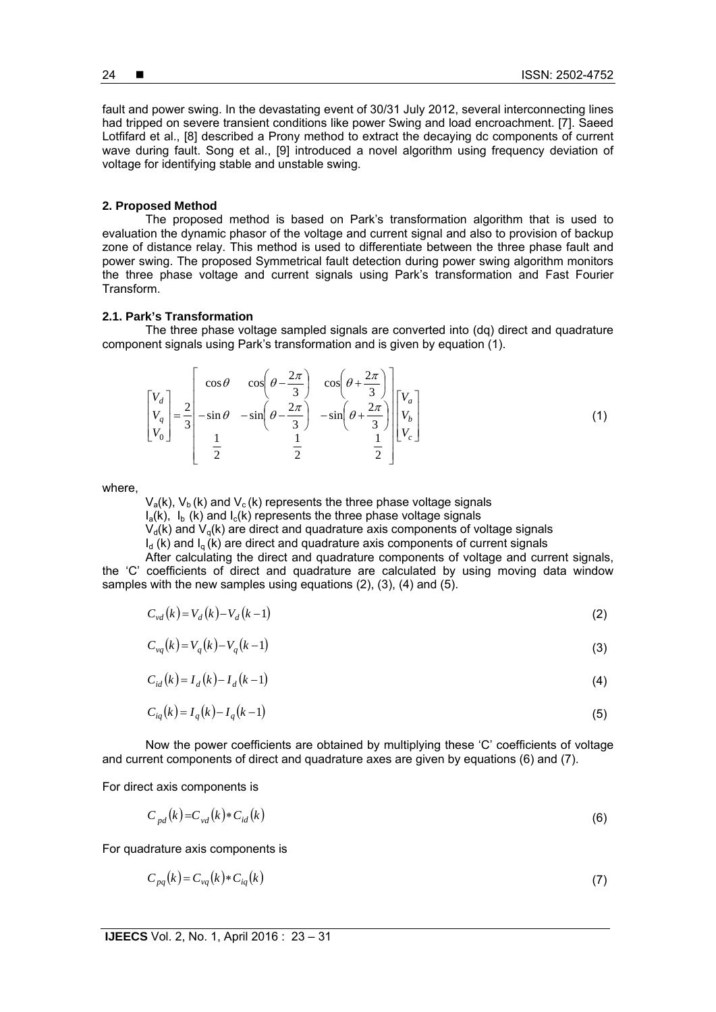fault and power swing. In the devastating event of 30/31 July 2012, several interconnecting lines had tripped on severe transient conditions like power Swing and load encroachment. [7]. Saeed Lotfifard et al., [8] described a Prony method to extract the decaying dc components of current wave during fault. Song et al., [9] introduced a novel algorithm using frequency deviation of voltage for identifying stable and unstable swing.

#### **2. Proposed Method**

The proposed method is based on Park's transformation algorithm that is used to evaluation the dynamic phasor of the voltage and current signal and also to provision of backup zone of distance relay. This method is used to differentiate between the three phase fault and power swing. The proposed Symmetrical fault detection during power swing algorithm monitors the three phase voltage and current signals using Park's transformation and Fast Fourier Transform.

#### **2.1. Park's Transformation**

The three phase voltage sampled signals are converted into (dq) direct and quadrature component signals using Park's transformation and is given by equation (1).

$$
\begin{bmatrix} V_d \\ V_q \\ V_0 \end{bmatrix} = \frac{2}{3} \begin{bmatrix} \cos \theta & \cos \left( \theta - \frac{2\pi}{3} \right) & \cos \left( \theta + \frac{2\pi}{3} \right) \\ -\sin \theta & -\sin \left( \theta - \frac{2\pi}{3} \right) & -\sin \left( \theta + \frac{2\pi}{3} \right) \\ \frac{1}{2} & \frac{1}{2} & \frac{1}{2} \end{bmatrix} \begin{bmatrix} V_a \\ V_b \\ V_c \end{bmatrix}
$$
 (1)

where,

 $V_a(k)$ ,  $V_b(k)$  and  $V_c(k)$  represents the three phase voltage signals

 $I_a(k)$ ,  $I_b$  (k) and  $I_c(k)$  represents the three phase voltage signals

 $V_d(k)$  and  $V_d(k)$  are direct and quadrature axis components of voltage signals

 $I_d$  (k) and  $I_a$  (k) are direct and quadrature axis components of current signals

After calculating the direct and quadrature components of voltage and current signals, the 'C' coefficients of direct and quadrature are calculated by using moving data window samples with the new samples using equations (2), (3), (4) and (5).

$$
C_{vd}(k) = V_d(k) - V_d(k-1)
$$
\n(2)

$$
C_{vq}(k) = V_q(k) - V_q(k-1)
$$
\n(3)

$$
C_{id}(k) = I_d(k) - I_d(k-1)
$$
\n(4)

$$
C_{iq}(k) = I_q(k) - I_q(k-1)
$$
\n(5)

Now the power coefficients are obtained by multiplying these 'C' coefficients of voltage and current components of direct and quadrature axes are given by equations (6) and (7).

For direct axis components is

$$
C_{pd}(k) = C_{vd}(k) * C_{id}(k)
$$
\n
$$
(6)
$$

For quadrature axis components is

$$
C_{pq}(k) = C_{\nu q}(k) * C_{iq}(k)
$$
\n<sup>(7)</sup>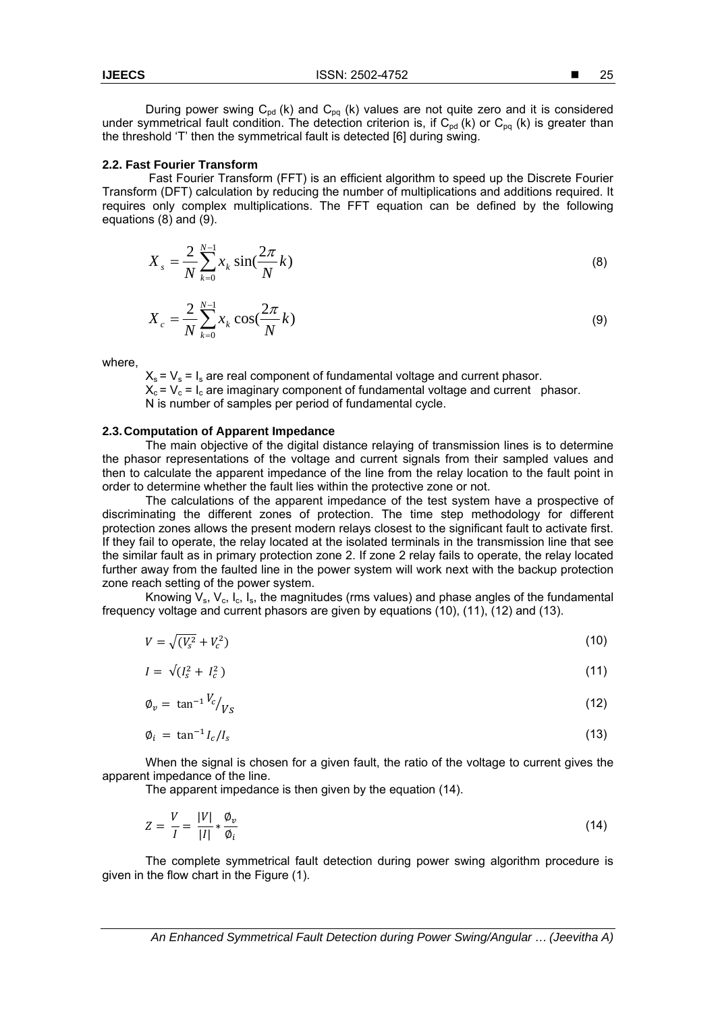25

During power swing  $C_{pd}$  (k) and  $C_{pq}$  (k) values are not quite zero and it is considered under symmetrical fault condition. The detection criterion is, if  $C_{pd}$  (k) or  $C_{pq}$  (k) is greater than the threshold 'T' then the symmetrical fault is detected [6] during swing.

#### **2.2. Fast Fourier Transform**

 Fast Fourier Transform (FFT) is an efficient algorithm to speed up the Discrete Fourier Transform (DFT) calculation by reducing the number of multiplications and additions required. It requires only complex multiplications. The FFT equation can be defined by the following equations (8) and (9).

$$
X_{s} = \frac{2}{N} \sum_{k=0}^{N-1} x_{k} \sin(\frac{2\pi}{N}k)
$$
 (8)

$$
X_c = \frac{2}{N} \sum_{k=0}^{N-1} x_k \cos(\frac{2\pi}{N}k)
$$
\n(9)

where,

 $X_s = V_s = I_s$  are real component of fundamental voltage and current phasor.  $X_c = V_c = I_c$  are imaginary component of fundamental voltage and current phasor. N is number of samples per period of fundamental cycle.

#### **2.3. Computation of Apparent Impedance**

The main objective of the digital distance relaying of transmission lines is to determine the phasor representations of the voltage and current signals from their sampled values and then to calculate the apparent impedance of the line from the relay location to the fault point in order to determine whether the fault lies within the protective zone or not.

The calculations of the apparent impedance of the test system have a prospective of discriminating the different zones of protection. The time step methodology for different protection zones allows the present modern relays closest to the significant fault to activate first. If they fail to operate, the relay located at the isolated terminals in the transmission line that see the similar fault as in primary protection zone 2. If zone 2 relay fails to operate, the relay located further away from the faulted line in the power system will work next with the backup protection zone reach setting of the power system.

Knowing  $V_s$ ,  $V_c$ ,  $I_c$ ,  $I_s$ , the magnitudes (rms values) and phase angles of the fundamental frequency voltage and current phasors are given by equations (10), (11), (12) and (13).

$$
V = \sqrt{(V_s^2 + V_c^2)}
$$
 (10)

$$
I = \sqrt{I_s^2 + I_c^2} \tag{11}
$$

$$
\varphi_v = \tan^{-1} \frac{V_c}{V_S} \tag{12}
$$

$$
\varphi_i = \tan^{-1} I_c / I_s \tag{13}
$$

When the signal is chosen for a given fault, the ratio of the voltage to current gives the apparent impedance of the line.

The apparent impedance is then given by the equation (14).

$$
Z = \frac{V}{I} = \frac{|V|}{|I|} * \frac{\phi_v}{\phi_i} \tag{14}
$$

The complete symmetrical fault detection during power swing algorithm procedure is given in the flow chart in the Figure (1).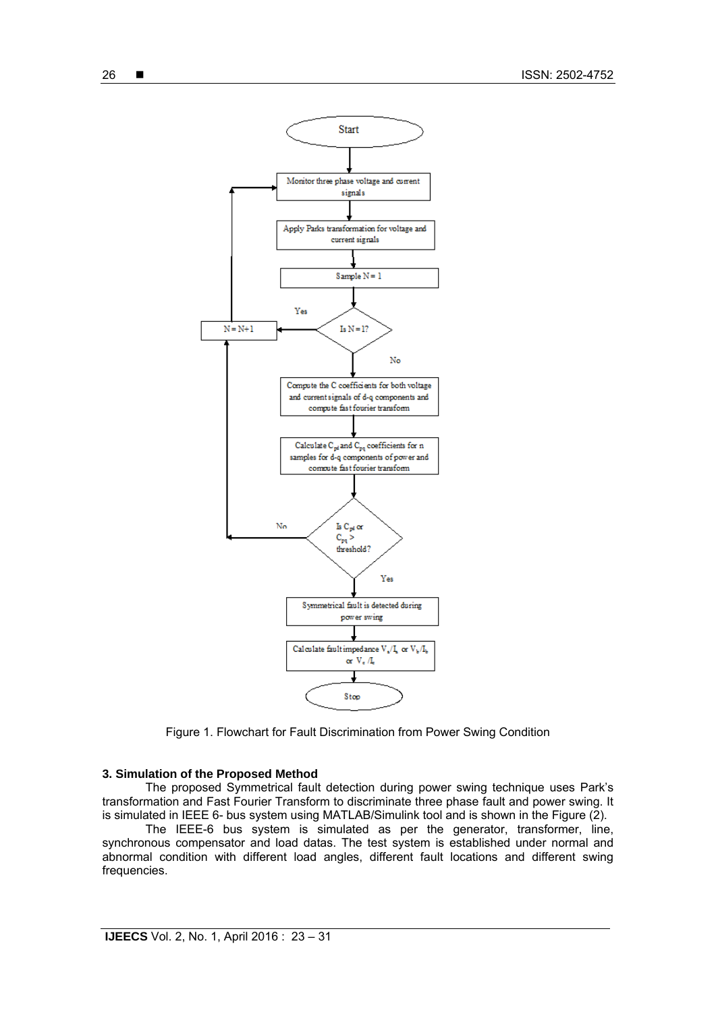

Figure 1. Flowchart for Fault Discrimination from Power Swing Condition

#### **3. Simulation of the Proposed Method**

The proposed Symmetrical fault detection during power swing technique uses Park's transformation and Fast Fourier Transform to discriminate three phase fault and power swing. It is simulated in IEEE 6- bus system using MATLAB/Simulink tool and is shown in the Figure (2).

The IEEE-6 bus system is simulated as per the generator, transformer, line, synchronous compensator and load datas. The test system is established under normal and abnormal condition with different load angles, different fault locations and different swing frequencies.

26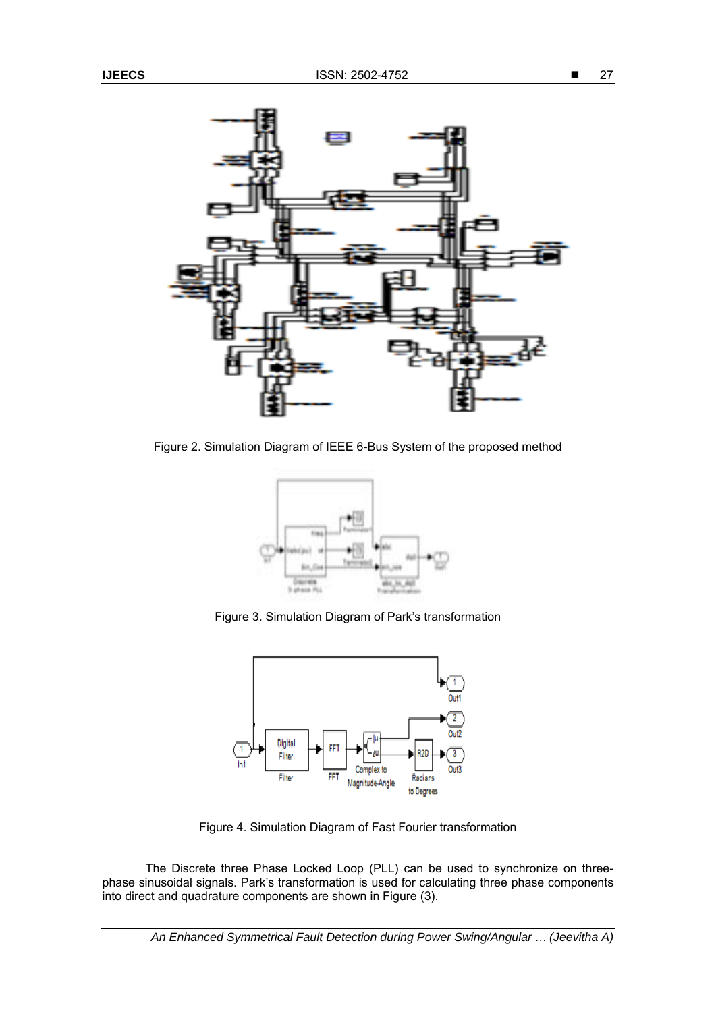

Figure 2. Simulation Diagram of IEEE 6-Bus System of the proposed method



Figure 3. Simulation Diagram of Park's transformation



Figure 4. Simulation Diagram of Fast Fourier transformation

The Discrete three Phase Locked Loop (PLL) can be used to synchronize on threephase sinusoidal signals. Park's transformation is used for calculating three phase components into direct and quadrature components are shown in Figure (3).

*An Enhanced Symmetrical Fault Detection during Power Swing/Angular … (Jeevitha A)*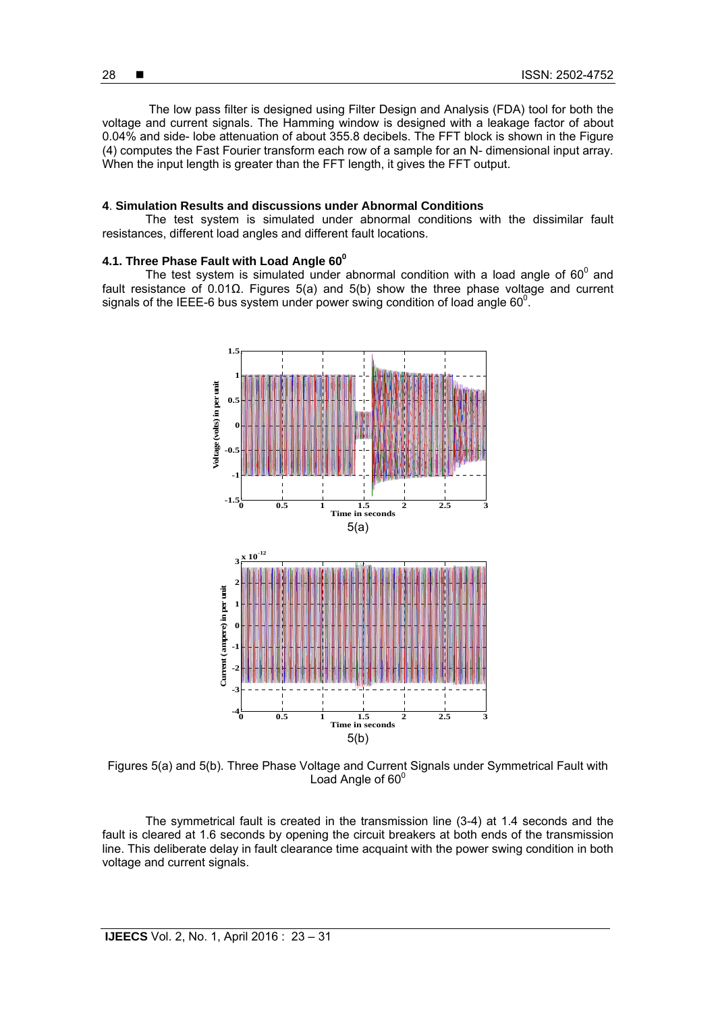The low pass filter is designed using Filter Design and Analysis (FDA) tool for both the voltage and current signals. The Hamming window is designed with a leakage factor of about 0.04% and side- lobe attenuation of about 355.8 decibels. The FFT block is shown in the Figure (4) computes the Fast Fourier transform each row of a sample for an N- dimensional input array. When the input length is greater than the FFT length, it gives the FFT output.

#### **4**. **Simulation Results and discussions under Abnormal Conditions**

 The test system is simulated under abnormal conditions with the dissimilar fault resistances, different load angles and different fault locations.

### **4.1. Three Phase Fault with Load Angle 60<sup>0</sup>**

The test system is simulated under abnormal condition with a load angle of  $60^{\circ}$  and fault resistance of 0.01Ω. Figures 5(a) and 5(b) show the three phase voltage and current signals of the IEEE-6 bus system under power swing condition of load angle 60 $^0$ .



Figures 5(a) and 5(b). Three Phase Voltage and Current Signals under Symmetrical Fault with Load Angle of  $60^{\circ}$ 

The symmetrical fault is created in the transmission line (3-4) at 1.4 seconds and the fault is cleared at 1.6 seconds by opening the circuit breakers at both ends of the transmission line. This deliberate delay in fault clearance time acquaint with the power swing condition in both voltage and current signals.

28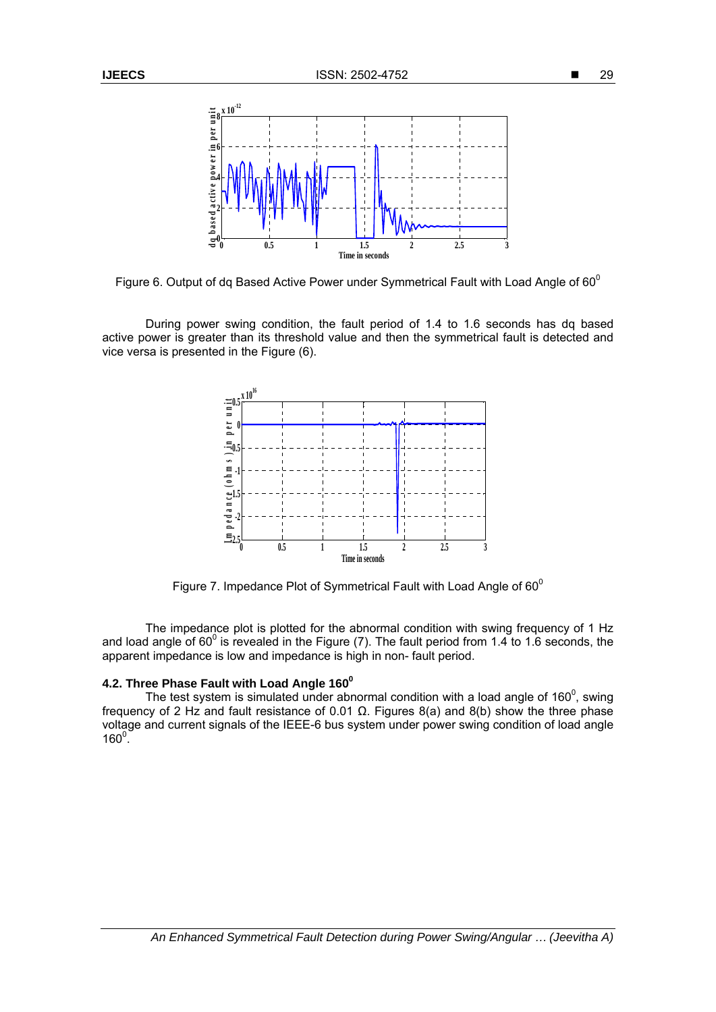

Figure 6. Output of dq Based Active Power under Symmetrical Fault with Load Angle of  $60^{\circ}$ 

 During power swing condition, the fault period of 1.4 to 1.6 seconds has dq based active power is greater than its threshold value and then the symmetrical fault is detected and vice versa is presented in the Figure (6).



Figure 7. Impedance Plot of Symmetrical Fault with Load Angle of  $60^{\circ}$ 

The impedance plot is plotted for the abnormal condition with swing frequency of 1 Hz and load angle of 60 $^{\circ}$  is revealed in the Figure (7). The fault period from 1.4 to 1.6 seconds, the apparent impedance is low and impedance is high in non- fault period.

## **4.2. Three Phase Fault with Load Angle 160°**

The test system is simulated under abnormal condition with a load angle of 160 $^{\circ}$ , swing frequency of 2 Hz and fault resistance of 0.01  $\Omega$ . Figures 8(a) and 8(b) show the three phase voltage and current signals of the IEEE-6 bus system under power swing condition of load angle  $160^{\circ}$ .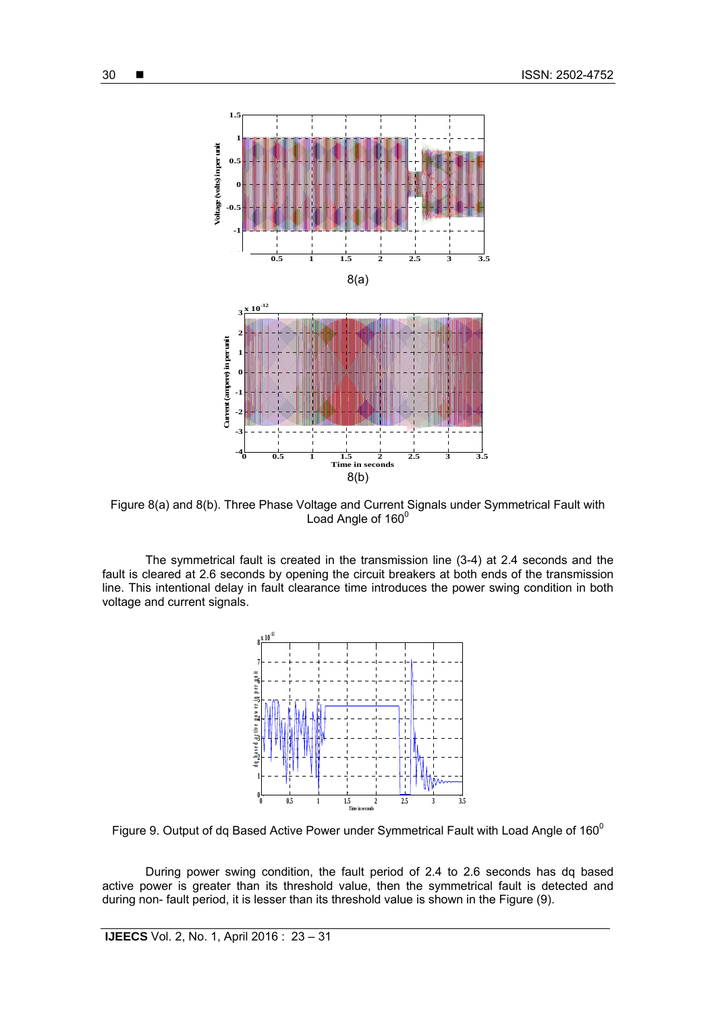

Figure 8(a) and 8(b). Three Phase Voltage and Current Signals under Symmetrical Fault with Load Angle of 160<sup>0</sup>

The symmetrical fault is created in the transmission line (3-4) at 2.4 seconds and the fault is cleared at 2.6 seconds by opening the circuit breakers at both ends of the transmission line. This intentional delay in fault clearance time introduces the power swing condition in both voltage and current signals.



Figure 9. Output of dq Based Active Power under Symmetrical Fault with Load Angle of  $160^{\circ}$ 

During power swing condition, the fault period of 2.4 to 2.6 seconds has dq based active power is greater than its threshold value, then the symmetrical fault is detected and during non- fault period, it is lesser than its threshold value is shown in the Figure (9).